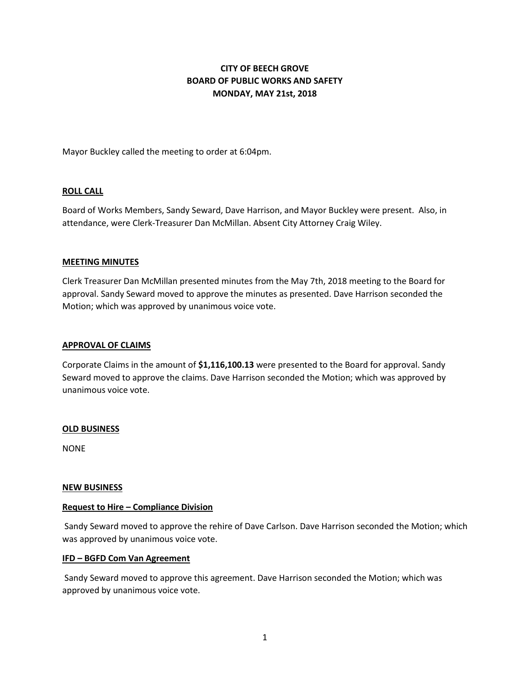# **CITY OF BEECH GROVE BOARD OF PUBLIC WORKS AND SAFETY MONDAY, MAY 21st, 2018**

Mayor Buckley called the meeting to order at 6:04pm.

## **ROLL CALL**

Board of Works Members, Sandy Seward, Dave Harrison, and Mayor Buckley were present. Also, in attendance, were Clerk-Treasurer Dan McMillan. Absent City Attorney Craig Wiley.

#### **MEETING MINUTES**

Clerk Treasurer Dan McMillan presented minutes from the May 7th, 2018 meeting to the Board for approval. Sandy Seward moved to approve the minutes as presented. Dave Harrison seconded the Motion; which was approved by unanimous voice vote.

#### **APPROVAL OF CLAIMS**

Corporate Claims in the amount of **\$1,116,100.13** were presented to the Board for approval. Sandy Seward moved to approve the claims. Dave Harrison seconded the Motion; which was approved by unanimous voice vote.

#### **OLD BUSINESS**

NONE

#### **NEW BUSINESS**

#### **Request to Hire – Compliance Division**

Sandy Seward moved to approve the rehire of Dave Carlson. Dave Harrison seconded the Motion; which was approved by unanimous voice vote.

#### **IFD – BGFD Com Van Agreement**

Sandy Seward moved to approve this agreement. Dave Harrison seconded the Motion; which was approved by unanimous voice vote.